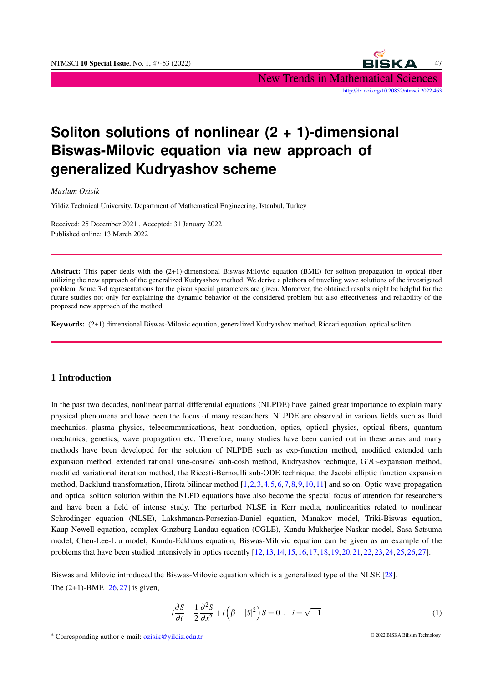

# **Soliton solutions of nonlinear (2 + 1)-dimensional Biswas-Milovic equation via new approach of generalized Kudryashov scheme**

*Muslum Ozisik*

Yildiz Technical University, Department of Mathematical Engineering, Istanbul, Turkey

Received: 25 December 2021 , Accepted: 31 January 2022 Published online: 13 March 2022

Abstract: This paper deals with the  $(2+1)$ -dimensional Biswas-Milovic equation (BME) for soliton propagation in optical fiber utilizing the new approach of the generalized Kudryashov method. We derive a plethora of traveling wave solutions of the investigated problem. Some 3-d representations for the given special parameters are given. Moreover, the obtained results might be helpful for the future studies not only for explaining the dynamic behavior of the considered problem but also effectiveness and reliability of the proposed new approach of the method.

Keywords: (2+1) dimensional Biswas-Milovic equation, generalized Kudryashov method, Riccati equation, optical soliton.

### 1 Introduction

In the past two decades, nonlinear partial differential equations (NLPDE) have gained great importance to explain many physical phenomena and have been the focus of many researchers. NLPDE are observed in various fields such as fluid mechanics, plasma physics, telecommunications, heat conduction, optics, optical physics, optical fibers, quantum mechanics, genetics, wave propagation etc. Therefore, many studies have been carried out in these areas and many methods have been developed for the solution of NLPDE such as exp-function method, modified extended tanh expansion method, extended rational sine-cosine/ sinh-cosh method, Kudryashov technique, G'/G-expansion method, modified variational iteration method, the Riccati-Bernoulli sub-ODE technique, the Jacobi elliptic function expansion method, Backlund transformation, Hirota bilinear method  $[1,2,3,4,5,6,7,8,9,10,11]$  $[1,2,3,4,5,6,7,8,9,10,11]$  $[1,2,3,4,5,6,7,8,9,10,11]$  $[1,2,3,4,5,6,7,8,9,10,11]$  $[1,2,3,4,5,6,7,8,9,10,11]$  $[1,2,3,4,5,6,7,8,9,10,11]$  $[1,2,3,4,5,6,7,8,9,10,11]$  $[1,2,3,4,5,6,7,8,9,10,11]$  $[1,2,3,4,5,6,7,8,9,10,11]$  $[1,2,3,4,5,6,7,8,9,10,11]$  $[1,2,3,4,5,6,7,8,9,10,11]$  and so on. Optic wave propagation and optical soliton solution within the NLPD equations have also become the special focus of attention for researchers and have been a field of intense study. The perturbed NLSE in Kerr media, nonlinearities related to nonlinear Schrodinger equation (NLSE), Lakshmanan-Porsezian-Daniel equation, Manakov model, Triki-Biswas equation, Kaup-Newell equation, complex Ginzburg-Landau equation (CGLE), Kundu-Mukherjee-Naskar model, Sasa-Satsuma model, Chen-Lee-Liu model, Kundu-Eckhaus equation, Biswas-Milovic equation can be given as an example of the problems that have been studied intensively in optics recently [\[12,](#page-5-11)[13,](#page-6-0)[14,](#page-6-1)[15,](#page-6-2)[16,](#page-6-3)[17,](#page-6-4)[18,](#page-6-5)[19,](#page-6-6)[20,](#page-6-7)[21,](#page-6-8)[22,](#page-6-9)[23,](#page-6-10)[24,](#page-6-11)[25,](#page-6-12)[26,](#page-6-13)[27\]](#page-6-14).

Biswas and Milovic introduced the Biswas-Milovic equation which is a generalized type of the NLSE [\[28\]](#page-6-15). The  $(2+1)$ -BME  $[26, 27]$  $[26, 27]$  $[26, 27]$  is given,

<span id="page-0-0"></span>
$$
i\frac{\partial S}{\partial t} - \frac{1}{2}\frac{\partial^2 S}{\partial x^2} + i\left(\beta - |S|^2\right)S = 0 \ , \ i = \sqrt{-1}
$$
 (1)

<sup>∗</sup> Corresponding author e-mail: ozisik@yildiz.edu.tr © 2022 BISKA Bilisim Technology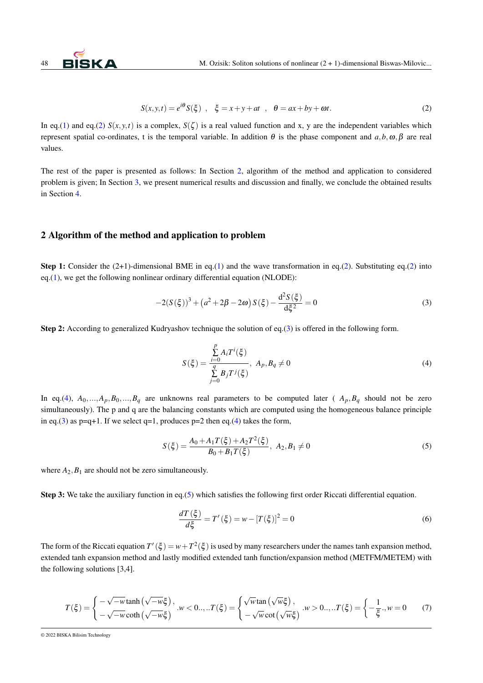$$
S(x, y, t) = e^{i\theta} S(\xi) , \quad \xi = x + y + at , \quad \theta = ax + by + \omega t.
$$
 (2)

<span id="page-1-0"></span>In eq.[\(1\)](#page-0-0) and eq.[\(2\)](#page-1-0)  $S(x, y, t)$  is a complex,  $S(\zeta)$  is a real valued function and x, y are the independent variables which represent spatial co-ordinates, t is the temporal variable. In addition θ is the phase component and *a*,*b*,ω,β are real values.

The rest of the paper is presented as follows: In Section [2,](#page-1-1) algorithm of the method and application to considered problem is given; In Section [3,](#page-3-0) we present numerical results and discussion and finally, we conclude the obtained results in Section [4.](#page-5-12)

### <span id="page-1-1"></span>2 Algorithm of the method and application to problem

**Step 1:** Consider the  $(2+1)$ -dimensional BME in eq.[\(1\)](#page-0-0) and the wave transformation in eq.[\(2\)](#page-1-0). Substituting eq.(2) into eq.[\(1\)](#page-0-0), we get the following nonlinear ordinary differential equation (NLODE):

$$
-2(S(\xi))^3 + (a^2 + 2\beta - 2\omega) S(\xi) - \frac{d^2 S(\xi)}{d\xi^2} = 0
$$
\n(3)

Step 2: According to generalized Kudryashov technique the solution of eq.[\(3\)](#page-1-2) is offered in the following form.

<span id="page-1-4"></span><span id="page-1-3"></span><span id="page-1-2"></span>
$$
S(\xi) = \frac{\sum_{i=0}^{p} A_i T^i(\xi)}{\sum_{j=0}^{q} B_j T^j(\xi)}, \ A_p, B_q \neq 0
$$
 (4)

In eq.[\(4\)](#page-1-3),  $A_0, ..., A_p, B_0, ..., B_q$  are unknowns real parameters to be computed later ( $A_p, B_q$  should not be zero simultaneously). The p and q are the balancing constants which are computed using the homogeneous balance principle in eq.[\(3\)](#page-1-2) as  $p=q+1$ . If we select  $q=1$ , produces  $p=2$  then eq.[\(4\)](#page-1-3) takes the form,

$$
S(\xi) = \frac{A_0 + A_1 T(\xi) + A_2 T^2(\xi)}{B_0 + B_1 T(\xi)}, \ A_2, B_1 \neq 0
$$
\n<sup>(5)</sup>

where  $A_2$ ,  $B_1$  are should not be zero simultaneously.

Step 3: We take the auxiliary function in eq.[\(5\)](#page-1-4) which satisfies the following first order Riccati differential equation.

<span id="page-1-5"></span>
$$
\frac{dT(\xi)}{d\xi} = T'(\xi) = w - [T(\xi)]^2 = 0
$$
\n(6)

The form of the Riccati equation  $T'(\xi) = w + T^2(\xi)$  is used by many researchers under the names tanh expansion method, extended tanh expansion method and lastly modified extended tanh function/expansion method (METFM/METEM) with the following solutions [3,4].

$$
T(\xi) = \begin{cases} -\sqrt{-w} \tanh(\sqrt{-w}\xi), & w < 0..., T(\xi) = \begin{cases} \sqrt{w} \tan(\sqrt{w}\xi), & w > 0..., T(\xi) = \begin{cases} -\frac{1}{\xi}, & w = 0 \\ 0, & \text{otherwise} \end{cases} \end{cases} (7)
$$

© 2022 BISKA Bilisim Technology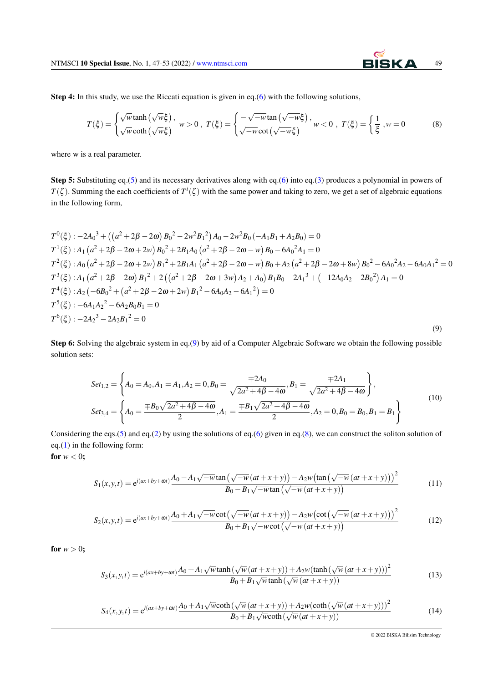Step 4: In this study, we use the Riccati equation is given in eq.[\(6\)](#page-1-5) with the following solutions,

$$
T(\xi) = \begin{cases} \sqrt{w} \tanh\left(\sqrt{w}\xi\right), & w > 0, \ T(\xi) = \begin{cases} -\sqrt{-w} \tan\left(\sqrt{-w}\xi\right), & w < 0, \ T(\xi) = \begin{cases} \frac{1}{\xi}, & w = 0 \end{cases} \end{cases}
$$
(8)

where w is a real parameter.

Step 5: Substituting eq.[\(5\)](#page-1-4) and its necessary derivatives along with eq.[\(6\)](#page-1-5) into eq.[\(3\)](#page-1-2) produces a polynomial in powers of  $T(\zeta)$ . Summing the each coefficients of  $T^i(\zeta)$  with the same power and taking to zero, we get a set of algebraic equations in the following form,

<span id="page-2-0"></span>
$$
T^{0}(\xi) : -2A_{0}^{3} + ((a^{2} + 2\beta - 2\omega) B_{0}^{2} - 2w^{2}B_{1}^{2})A_{0} - 2w^{2}B_{0}(-A_{1}B_{1} + A_{2}B_{0}) = 0
$$
  
\n
$$
T^{1}(\xi) : A_{1} (a^{2} + 2\beta - 2\omega + 2w) B_{0}^{2} + 2B_{1}A_{0} (a^{2} + 2\beta - 2\omega - w) B_{0} - 6A_{0}^{2}A_{1} = 0
$$
  
\n
$$
T^{2}(\xi) : A_{0} (a^{2} + 2\beta - 2\omega + 2w) B_{1}^{2} + 2B_{1}A_{1} (a^{2} + 2\beta - 2\omega - w) B_{0} + A_{2} (a^{2} + 2\beta - 2\omega + 8w) B_{0}^{2} - 6A_{0}^{2}A_{2} - 6A_{0}A_{1}^{2} = 0
$$
  
\n
$$
T^{3}(\xi) : A_{1} (a^{2} + 2\beta - 2\omega) B_{1}^{2} + 2 ((a^{2} + 2\beta - 2\omega + 3w) A_{2} + A_{0}) B_{1}B_{0} - 2A_{1}^{3} + (-12A_{0}A_{2} - 2B_{0}^{2}) A_{1} = 0
$$
  
\n
$$
T^{4}(\xi) : A_{2} (-6B_{0}^{2} + (a^{2} + 2\beta - 2\omega + 2w) B_{1}^{2} - 6A_{0}A_{2} - 6A_{1}^{2}) = 0
$$
  
\n
$$
T^{5}(\xi) : -6A_{1}A_{2}^{2} - 6A_{2}B_{0}B_{1} = 0
$$
  
\n
$$
T^{6}(\xi) : -2A_{2}^{3} - 2A_{2}B_{1}^{2} = 0
$$
  
\n(9)

<span id="page-2-2"></span>Step 6: Solving the algebraic system in eq.[\(9\)](#page-2-0) by aid of a Computer Algebraic Software we obtain the following possible solution sets:

$$
Set_{1,2} = \left\{ A_0 = A_0, A_1 = A_1, A_2 = 0, B_0 = \frac{\mp 2A_0}{\sqrt{2a^2 + 4\beta - 4\omega}}, B_1 = \frac{\mp 2A_1}{\sqrt{2a^2 + 4\beta - 4\omega}} \right\},\
$$
  

$$
Set_{3,4} = \left\{ A_0 = \frac{\mp B_0 \sqrt{2a^2 + 4\beta - 4\omega}}{2}, A_1 = \frac{\mp B_1 \sqrt{2a^2 + 4\beta - 4\omega}}{2}, A_2 = 0, B_0 = B_0, B_1 = B_1 \right\}
$$

$$
(10)
$$

Considering the eqs.[\(5\)](#page-1-4) and eq.[\(2\)](#page-1-0) by using the solutions of eq.[\(6\)](#page-1-5) given in eq.[\(8\)](#page-2-1), we can construct the soliton solution of eq.[\(1\)](#page-0-0) in the following form: for  $w < 0$ ;

<span id="page-2-3"></span>
$$
S_1(x, y, t) = e^{i(ax + by + \omega t)} \frac{A_0 - A_1 \sqrt{-w} \tan(\sqrt{-w} (at + x + y)) - A_2 w (\tan(\sqrt{-w} (at + x + y)))^2}{B_0 - B_1 \sqrt{-w} \tan(\sqrt{-w} (at + x + y))}
$$
(11)

<span id="page-2-4"></span>
$$
S_2(x, y, t) = e^{i(ax + by + \omega t)} \frac{A_0 + A_1 \sqrt{-w} \cot(\sqrt{-w} (at + x + y)) - A_2 w (\cot(\sqrt{-w} (at + x + y)))^2}{B_0 + B_1 \sqrt{-w} \cot(\sqrt{-w} (at + x + y))}
$$
(12)

<span id="page-2-6"></span>for  $w > 0$ ;

<span id="page-2-5"></span>
$$
S_3(x, y, t) = e^{i(ax + by + \omega t)} \frac{A_0 + A_1 \sqrt{w} \tanh(\sqrt{w} (at + x + y)) + A_2 w (\tanh(\sqrt{w} (at + x + y)))^2}{B_0 + B_1 \sqrt{w} \tanh(\sqrt{w} (at + x + y))}
$$
(13)

$$
S_4(x, y, t) = e^{i(ax + by + \omega t)} \frac{A_0 + A_1 \sqrt{w} \coth(\sqrt{w} (at + x + y)) + A_2 w (\coth(\sqrt{w} (at + x + y)))^2}{B_0 + B_1 \sqrt{w} \coth(\sqrt{w} (at + x + y))}
$$
(14)

© 2022 BISKA Bilisim Technology

<span id="page-2-1"></span>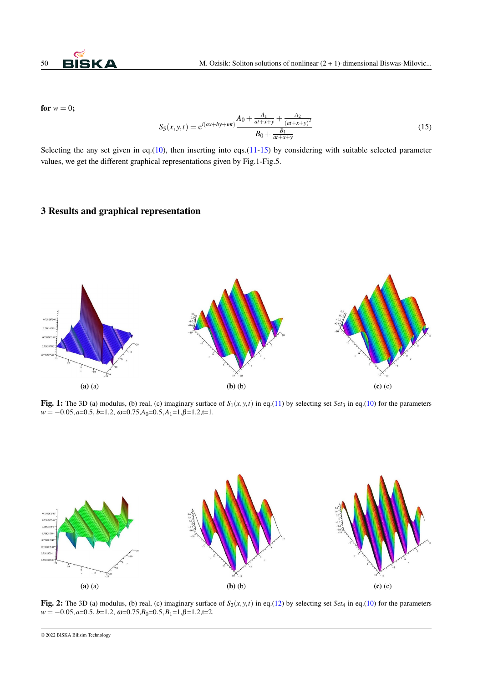

<span id="page-3-1"></span>for  $w = 0$ ;

$$
S_5(x, y, t) = e^{i(ax + by + \omega t)} \frac{A_0 + \frac{A_1}{at + x + y} + \frac{A_2}{(at + x + y)^2}}{B_0 + \frac{B_1}{at + x + y}}
$$
(15)

Selecting the any set given in eq.[\(10\)](#page-2-2), then inserting into eqs.[\(11](#page-2-3)[-15\)](#page-3-1) by considering with suitable selected parameter values, we get the different graphical representations given by Fig.1-Fig.5.

## <span id="page-3-0"></span>3 Results and graphical representation



Fig. 1: The 3D (a) modulus, (b) real, (c) imaginary surface of  $S_1(x, y, t)$  in eq.[\(11\)](#page-2-3) by selecting set *Set*<sub>3</sub> in eq.[\(10\)](#page-2-2) for the parameters  $w = -0.05, a=0.5, b=1.2, \omega = 0.75, A_0 = 0.5, A_1 = 1, \beta = 1.2, t=1.$ 



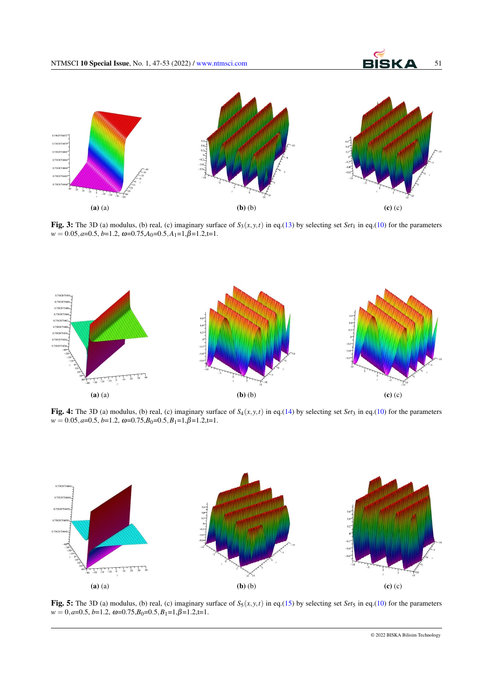

Fig. 3: The 3D (a) modulus, (b) real, (c) imaginary surface of  $S_3(x, y, t)$  in eq.[\(13\)](#page-2-5) by selecting set *Set*<sub>1</sub> in eq.[\(10\)](#page-2-2) for the parameters  $w = 0.05, a = 0.5, b = 1.2, \omega = 0.75, A_0 = 0.5, A_1 = 1, \beta = 1.2, t = 1.$ 



Fig. 4: The 3D (a) modulus, (b) real, (c) imaginary surface of  $S_4(x, y, t)$  in eq.[\(14\)](#page-2-6) by selecting set *Set*<sub>3</sub> in eq.[\(10\)](#page-2-2) for the parameters  $w = 0.05, a = 0.5, b = 1.2, \omega = 0.75, B_0 = 0.5, B_1 = 1, \beta = 1.2, t = 1.$ 



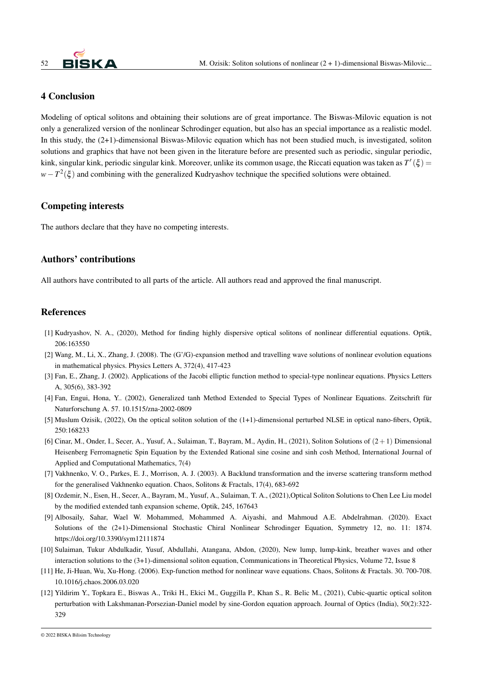

### <span id="page-5-12"></span>4 Conclusion

Modeling of optical solitons and obtaining their solutions are of great importance. The Biswas-Milovic equation is not only a generalized version of the nonlinear Schrodinger equation, but also has an special importance as a realistic model. In this study, the (2+1)-dimensional Biswas-Milovic equation which has not been studied much, is investigated, soliton solutions and graphics that have not been given in the literature before are presented such as periodic, singular periodic, kink, singular kink, periodic singular kink. Moreover, unlike its common usage, the Riccati equation was taken as  $T'(\xi)$  = *w*−*T*<sup>2</sup>(ξ) and combining with the generalized Kudryashov technique the specified solutions were obtained.

#### Competing interests

The authors declare that they have no competing interests.

### Authors' contributions

All authors have contributed to all parts of the article. All authors read and approved the final manuscript.

### References

- <span id="page-5-0"></span>[1] Kudryashov, N. A., (2020), Method for finding highly dispersive optical solitons of nonlinear differential equations. Optik, 206:163550
- <span id="page-5-1"></span>[2] Wang, M., Li, X., Zhang, J. (2008). The (G'/G)-expansion method and travelling wave solutions of nonlinear evolution equations in mathematical physics. Physics Letters A, 372(4), 417-423
- <span id="page-5-2"></span>[3] Fan, E., Zhang, J. (2002). Applications of the Jacobi elliptic function method to special-type nonlinear equations. Physics Letters A, 305(6), 383-392
- <span id="page-5-3"></span>[4] Fan, Engui, Hona, Y.. (2002), Generalized tanh Method Extended to Special Types of Nonlinear Equations. Zeitschrift für Naturforschung A. 57. 10.1515/zna-2002-0809
- <span id="page-5-4"></span>[5] Muslum Ozisik, (2022), On the optical soliton solution of the (1+1)-dimensional perturbed NLSE in optical nano-fibers, Optik, 250:168233
- <span id="page-5-5"></span>[6] Cinar, M., Onder, I., Secer, A., Yusuf, A., Sulaiman, T., Bayram, M., Aydin, H., (2021), Soliton Solutions of  $(2+1)$  Dimensional Heisenberg Ferromagnetic Spin Equation by the Extended Rational sine cosine and sinh cosh Method, International Journal of Applied and Computational Mathematics, 7(4)
- <span id="page-5-6"></span>[7] Vakhnenko, V. O., Parkes, E. J., Morrison, A. J. (2003). A Backlund transformation and the inverse scattering transform method for the generalised Vakhnenko equation. Chaos, Solitons & Fractals, 17(4), 683-692
- <span id="page-5-7"></span>[8] Ozdemir, N., Esen, H., Secer, A., Bayram, M., Yusuf, A., Sulaiman, T. A., (2021),Optical Soliton Solutions to Chen Lee Liu model by the modified extended tanh expansion scheme, Optik, 245, 167643
- <span id="page-5-8"></span>[9] Albosaily, Sahar, Wael W. Mohammed, Mohammed A. Aiyashi, and Mahmoud A.E. Abdelrahman. (2020). Exact Solutions of the (2+1)-Dimensional Stochastic Chiral Nonlinear Schrodinger Equation, Symmetry 12, no. 11: 1874. https://doi.org/10.3390/sym12111874
- <span id="page-5-9"></span>[10] Sulaiman, Tukur Abdulkadir, Yusuf, Abdullahi, Atangana, Abdon, (2020), New lump, lump-kink, breather waves and other interaction solutions to the (3+1)-dimensional soliton equation, Communications in Theoretical Physics, Volume 72, Issue 8
- <span id="page-5-10"></span>[11] He, Ji-Huan, Wu, Xu-Hong. (2006). Exp-function method for nonlinear wave equations. Chaos, Solitons & Fractals. 30. 700-708. 10.1016/j.chaos.2006.03.020
- <span id="page-5-11"></span>[12] Yildirim Y., Topkara E., Biswas A., Triki H., Ekici M., Guggilla P., Khan S., R. Belic M., (2021), Cubic-quartic optical soliton perturbation with Lakshmanan-Porsezian-Daniel model by sine-Gordon equation approach. Journal of Optics (India), 50(2):322- 329

© 2022 BISKA Bilisim Technology